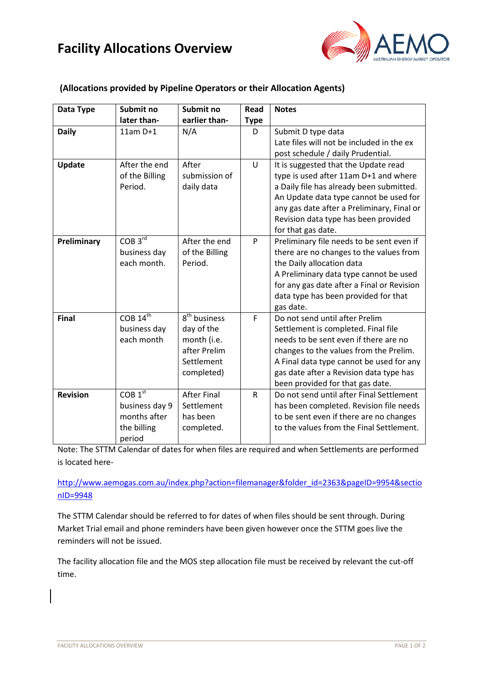

| Data Type       | Submit no<br>later than- | Submit no<br>earlier than- | Read        | <b>Notes</b>                               |
|-----------------|--------------------------|----------------------------|-------------|--------------------------------------------|
|                 |                          |                            | <b>Type</b> |                                            |
| <b>Daily</b>    | $11am D+1$               | N/A                        | D           | Submit D type data                         |
|                 |                          |                            |             | Late files will not be included in the ex  |
|                 |                          |                            |             | post schedule / daily Prudential.          |
| Update          | After the end            | After                      | $\cup$      | It is suggested that the Update read       |
|                 | of the Billing           | submission of              |             | type is used after 11am D+1 and where      |
|                 | Period.                  | daily data                 |             | a Daily file has already been submitted.   |
|                 |                          |                            |             | An Update data type cannot be used for     |
|                 |                          |                            |             | any gas date after a Preliminary, Final or |
|                 |                          |                            |             | Revision data type has been provided       |
|                 |                          |                            |             | for that gas date.                         |
| Preliminary     | COB $3^{\overline{rd}}$  | After the end              | P           | Preliminary file needs to be sent even if  |
|                 | business day             | of the Billing             |             | there are no changes to the values from    |
|                 | each month.              | Period.                    |             | the Daily allocation data                  |
|                 |                          |                            |             | A Preliminary data type cannot be used     |
|                 |                          |                            |             | for any gas date after a Final or Revision |
|                 |                          |                            |             | data type has been provided for that       |
|                 |                          |                            |             | gas date.                                  |
| <b>Final</b>    | COB 14 <sup>th</sup>     | 8 <sup>th</sup> business   | F           | Do not send until after Prelim             |
|                 | business day             | day of the                 |             | Settlement is completed. Final file        |
|                 | each month               | month (i.e.                |             | needs to be sent even if there are no      |
|                 |                          | after Prelim               |             | changes to the values from the Prelim.     |
|                 |                          | Settlement                 |             | A Final data type cannot be used for any   |
|                 |                          | completed)                 |             | gas date after a Revision data type has    |
|                 |                          |                            |             | been provided for that gas date.           |
| <b>Revision</b> | $COB$ <sup>st</sup>      | <b>After Final</b>         | R           | Do not send until after Final Settlement   |
|                 | business day 9           | Settlement                 |             | has been completed. Revision file needs    |
|                 | months after             | has been                   |             | to be sent even if there are no changes    |
|                 | the billing              | completed.                 |             | to the values from the Final Settlement.   |
|                 | period                   |                            |             |                                            |

#### **(Allocations provided by Pipeline Operators or their Allocation Agents)**

Note: The STTM Calendar of dates for when files are required and when Settlements are performed is located here-

[http://www.aemogas.com.au/index.php?action=filemanager&folder\\_id=2363&pageID=9954&sectio](http://www.aemogas.com.au/index.php?action=filemanager&folder_id=2363&pageID=9954§ionID=9948) [nID=9948](http://www.aemogas.com.au/index.php?action=filemanager&folder_id=2363&pageID=9954§ionID=9948)

The STTM Calendar should be referred to for dates of when files should be sent through. During Market Trial email and phone reminders have been given however once the STTM goes live the reminders will not be issued.

The facility allocation file and the MOS step allocation file must be received by relevant the cut-off time.